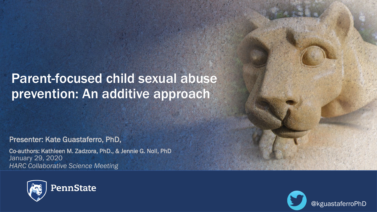# Parent-focused child sexual abuse prevention: An additive approach

Presenter: Kate Guastaferro, PhD,

Co-authors: Kathleen M. Zadzora, PhD., & Jennie G. Noll, PhD January 29, 2020 *HARC Collaborative Science Meeting*



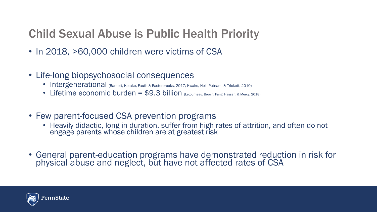# Child Sexual Abuse is Public Health Priority

- In 2018, >60,000 children were victims of CSA
- Life-long biopsychosocial consequences
	- Intergenerational (Bartlett, Kotake, Fauth & Easterbrooks, 2017; Kwako, Noll, Putnam, & Trickett, 2010)
	- Lifetime economic burden =  $$9.3$  billion (Letourneau, Brown, Fang, Hassan, & Mercy, 2018)
- Few parent-focused CSA prevention programs
	- Heavily didactic, long in duration, suffer from high rates of attrition, and often do not engage parents whose children are at greatest risk
- General parent-education programs have demonstrated reduction in risk for physical abuse and neglect, but have not affected rates of CSA

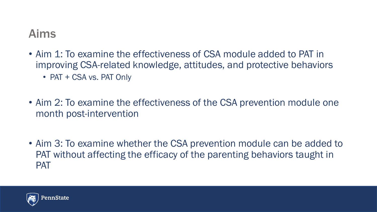#### Aims

- Aim 1: To examine the effectiveness of CSA module added to PAT in improving CSA-related knowledge, attitudes, and protective behaviors • PAT + CSA vs. PAT Only
- Aim 2: To examine the effectiveness of the CSA prevention module one month post-intervention
- Aim 3: To examine whether the CSA prevention module can be added to PAT without affecting the efficacy of the parenting behaviors taught in PAT

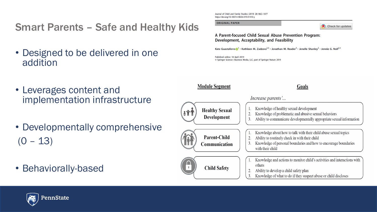Smart Parents – Safe and Healthy Kids

- Designed to be delivered in one addition
- Leverages content and implementation infrastructure
- Developmentally comprehensive  $(0 - 13)$
- Behaviorally-based

Journal of Child and Family Studies (2019) 28:1862-1877 https://doi.org/10.1007/s10826-019-01410-y

**ORIGINAL PAPER** 



A Parent-focused Child Sexual Abuse Prevention Program: Development, Acceptability, and Feasibility

Kate Guastaferro $\bigcirc$ <sup>1</sup> · Kathleen M. Zadzora<sup>2,3</sup> · Jonathan M. Reader<sup>3</sup> · Jenelle Shanley<sup>2</sup> · Jennie G. Noll<sup>2,3</sup>

Published online: 18 April 2019 © Springer Science+Business Media, LLC, part of Springer Nature 2019

**Module Segment** 

Goals



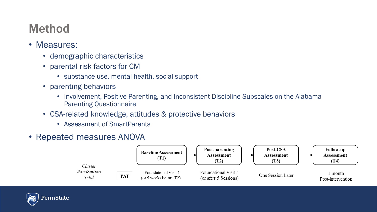# Method

- Measures:
	- demographic characteristics
	- parental risk factors for CM
		- substance use, mental health, social support
	- parenting behaviors
		- Involvement, Positive Parenting, and Inconsistent Discipline Subscales on the Alabama Parenting Questionnaire
	- CSA-related knowledge, attitudes & protective behaviors
		- Assessment of SmartParents
- Repeated measures ANOVA



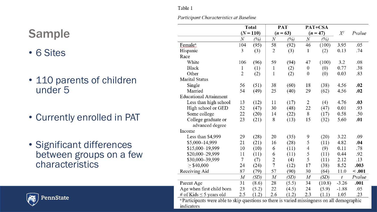#### Table 1

Participant Characteristics at Baseline

# Sample

- 6 Sites
- 110 parents of children under 5
- Currently enrolled in PAT
- Significant differences between groups on a few characteristics



<sup>a</sup> Participants were able to skip questions so there is varied missingness on all demographic indicators

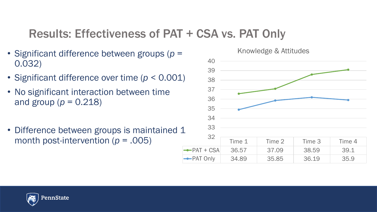### Results: Effectiveness of PAT + CSA vs. PAT Only

- Significant difference between groups (*p* = 0.032)
- Significant difference over time (*p* < 0.001)
- No significant interaction between time and group ( $p = 0.218$ )
- Difference between groups is maintained 1 month post-intervention ( $p = .005$ ) Time 1 Time 2 Time 3 Time 4





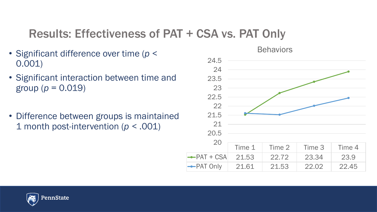### Results: Effectiveness of PAT + CSA vs. PAT Only

- Significant difference over time (*p* < 0.001)
- Significant interaction between time and group ( $p = 0.019$ )
- Difference between groups is maintained 1 month post-intervention (*p <* .001)





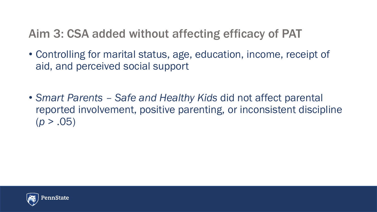# Aim 3: CSA added without affecting efficacy of PAT

- Controlling for marital status, age, education, income, receipt of aid, and perceived social support
- *Smart Parents – Safe and Healthy Kids* did not affect parental reported involvement, positive parenting, or inconsistent discipline  $(p > .05)$

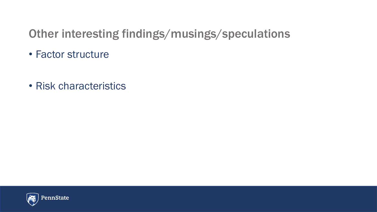# Other interesting findings/musings/speculations

- Factor structure
- Risk characteristics

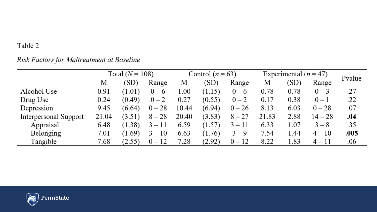#### Table 2

#### Risk Factors for Maltreatment at Baseline

|                       | Total $(N = 108)$ |        |          | Control $(n = 63)$ |        |          | Experimental $(n = 47)$ |      |           | Pvalue |
|-----------------------|-------------------|--------|----------|--------------------|--------|----------|-------------------------|------|-----------|--------|
|                       | М                 | (SD)   | Range    | М                  | (SD)   | Range    | М                       | (SD) | Range     |        |
| Alcohol Use           | 0.91              | (1.01) | $0 - 6$  | 1.00               | (1.15) | $0-6$    | 0.78                    | 0.78 | $0 - 3$   | .27    |
| Drug Use              | 0.24              | (0.49) | $0 - 2$  | 0.27               | (0.55) | $0 - 2$  | 0.17                    | 0.38 | $0 - 1$   | .22    |
| Depression            | 9.45              | (6.64) | $0 - 28$ | 10.44              | (6.94) | $0 - 26$ | 8.13                    | 6.03 | $0 - 28$  | .07    |
| Interpersonal Support | 21.04             | (3.51) | $8 - 28$ | 20.40              | (3.83) | $8 - 27$ | 21.83                   | 2.88 | $14 - 28$ | .04    |
| Appraisal             | 6.48              | (1.38) | $3 - 11$ | 6.59               | (1.57) | $3 - 11$ | 6.33                    | 1.07 | $3 - 8$   | .35    |
| Belonging             | 7.01              | (1.69) | $3 - 10$ | 6.63               | (1.76) | $3 - 9$  | 7.54                    | .44  | $4 - 10$  | .005   |
| Tangible              | 7.68              | (2.55) | $0 - 12$ | 7.28               | (2.92) | $0 - 12$ | 8.22                    | 1.83 | $4 - 11$  | .06    |

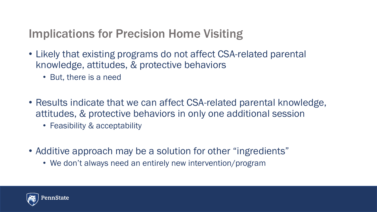# Implications for Precision Home Visiting

- Likely that existing programs do not affect CSA-related parental knowledge, attitudes, & protective behaviors
	- But, there is a need
- Results indicate that we can affect CSA-related parental knowledge, attitudes, & protective behaviors in only one additional session
	- Feasibility & acceptability
- Additive approach may be a solution for other "ingredients"
	- We don't always need an entirely new intervention/program

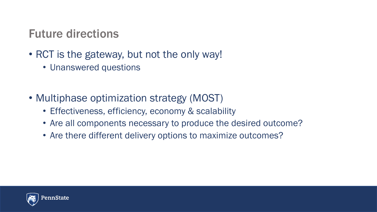## Future directions

- RCT is the gateway, but not the only way!
	- Unanswered questions
- Multiphase optimization strategy (MOST)
	- Effectiveness, efficiency, economy & scalability
	- Are all components necessary to produce the desired outcome?
	- Are there different delivery options to maximize outcomes?